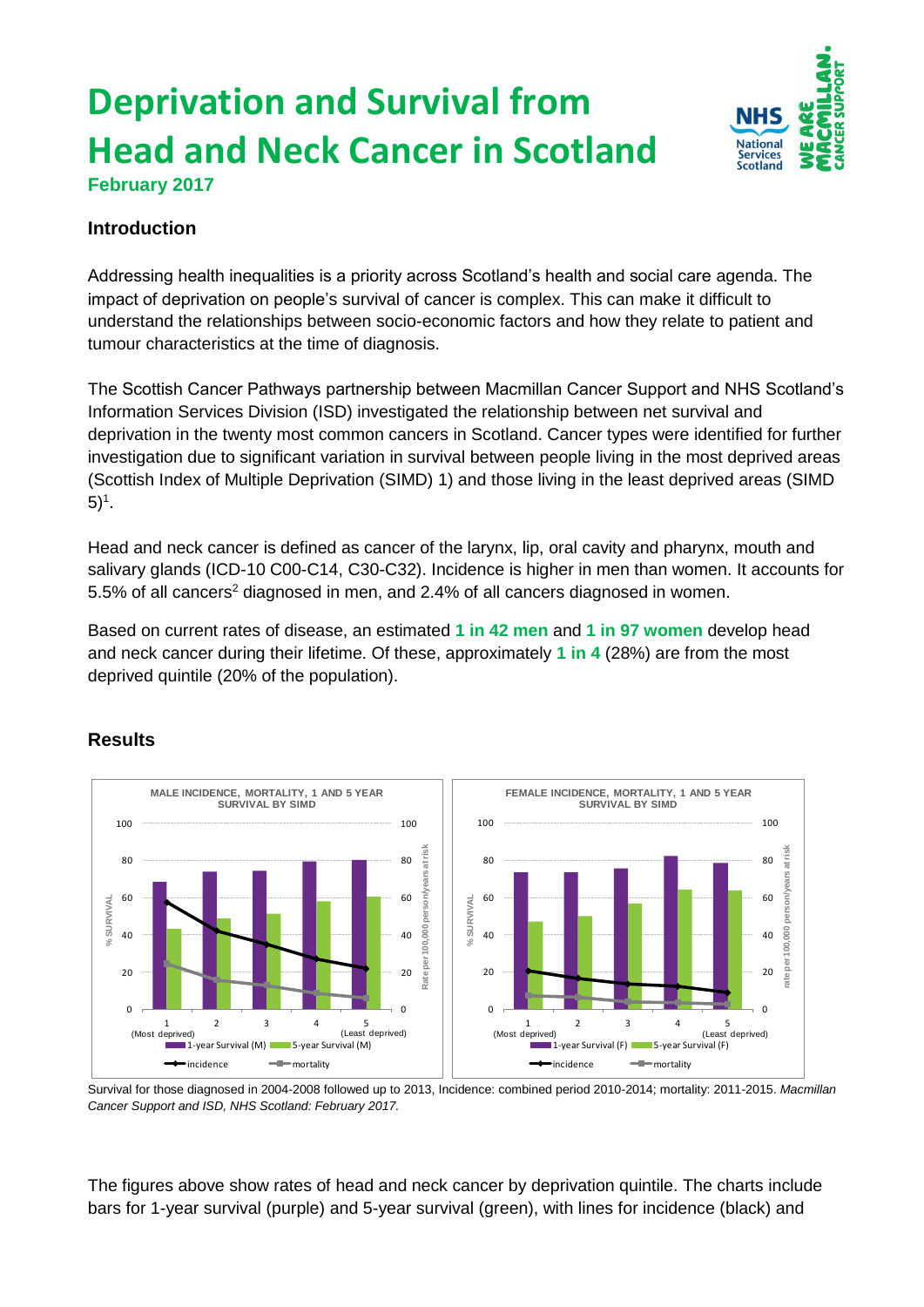# **Deprivation and Survival from Head and Neck Cancer in Scotland**



**February 2017**

### **Introduction**

Addressing health inequalities is a priority across Scotland's health and social care agenda. The impact of deprivation on people's survival of cancer is complex. This can make it difficult to understand the relationships between socio-economic factors and how they relate to patient and tumour characteristics at the time of diagnosis.

The Scottish Cancer Pathways partnership between Macmillan Cancer Support and NHS Scotland's Information Services Division (ISD) investigated the relationship between net survival and deprivation in the twenty most common cancers in Scotland. Cancer types were identified for further investigation due to significant variation in survival between people living in the most deprived areas (Scottish Index of Multiple Deprivation (SIMD) 1) and those living in the least deprived areas (SIMD  $5)^{1}$ .

Head and neck cancer is defined as cancer of the larynx, lip, oral cavity and pharynx, mouth and salivary glands (ICD-10 C00-C14, C30-C32). Incidence is higher in men than women. It accounts for 5.5% of all cancers<sup>2</sup> diagnosed in men, and 2.4% of all cancers diagnosed in women.

Based on current rates of disease, an estimated **1 in 42 men** and **1 in 97 women** develop head and neck cancer during their lifetime. Of these, approximately **1 in 4** (28%) are from the most deprived quintile (20% of the population).

## **Results**



Survival for those diagnosed in 2004-2008 followed up to 2013, Incidence: combined period 2010-2014; mortality: 2011-2015. *Macmillan Cancer Support and ISD, NHS Scotland: February 2017.*

The figures above show rates of head and neck cancer by deprivation quintile. The charts include bars for 1-year survival (purple) and 5-year survival (green), with lines for incidence (black) and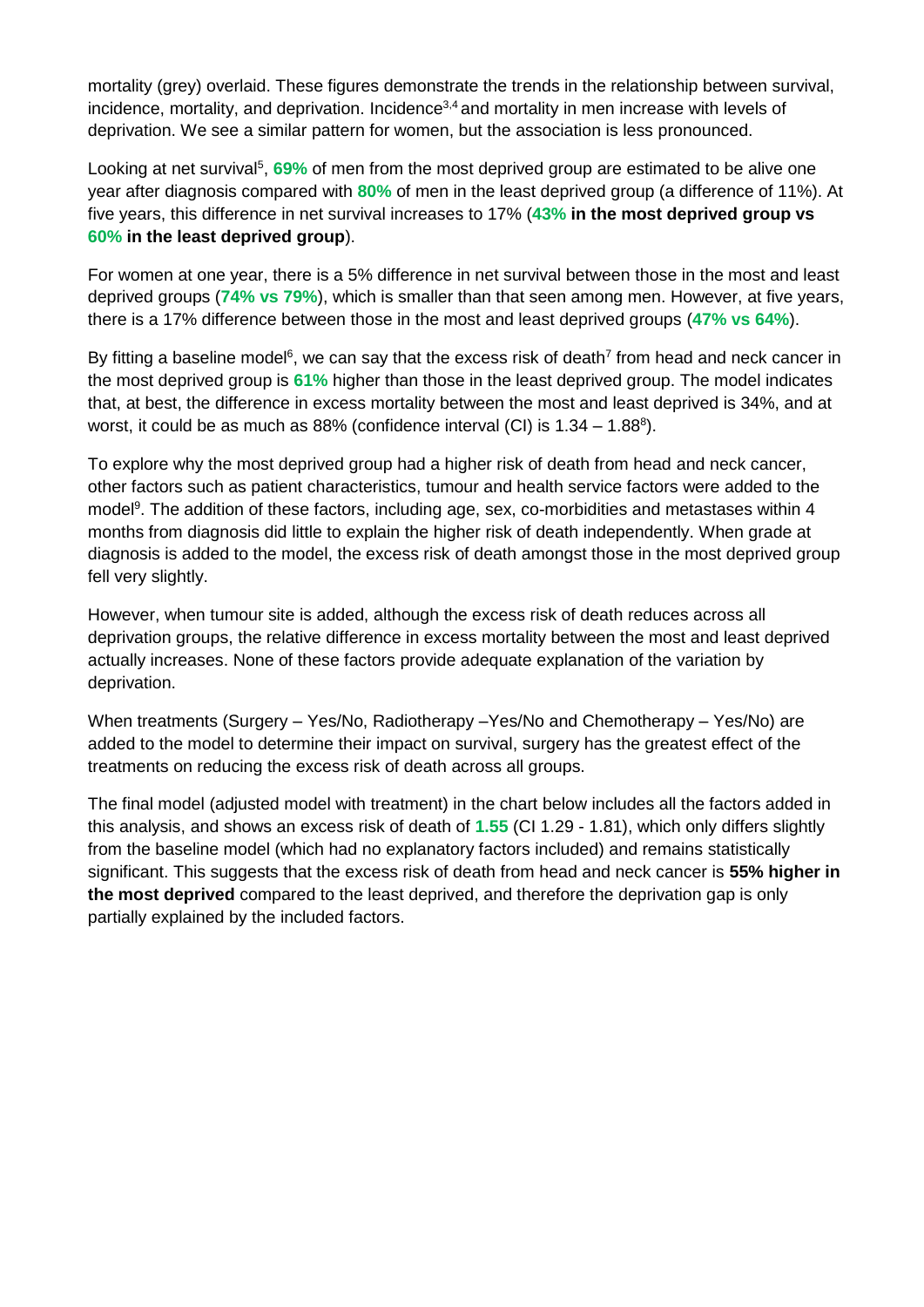mortality (grey) overlaid. These figures demonstrate the trends in the relationship between survival, incidence, mortality, and deprivation. Incidence<sup>3,4</sup> and mortality in men increase with levels of deprivation. We see a similar pattern for women, but the association is less pronounced.

Looking at net survival<sup>5</sup>, 69% of men from the most deprived group are estimated to be alive one year after diagnosis compared with **80%** of men in the least deprived group (a difference of 11%). At five years, this difference in net survival increases to 17% (**43% in the most deprived group vs 60% in the least deprived group**).

For women at one year, there is a 5% difference in net survival between those in the most and least deprived groups (**74% vs 79%**), which is smaller than that seen among men. However, at five years, there is a 17% difference between those in the most and least deprived groups (**47% vs 64%**).

By fitting a baseline model<sup>6</sup>, we can say that the excess risk of death<sup>7</sup> from head and neck cancer in the most deprived group is **61%** higher than those in the least deprived group. The model indicates that, at best, the difference in excess mortality between the most and least deprived is 34%, and at worst, it could be as much as  $88\%$  (confidence interval (CI) is  $1.34 - 1.88$ <sup>8</sup>).

To explore why the most deprived group had a higher risk of death from head and neck cancer, other factors such as patient characteristics, tumour and health service factors were added to the model<sup>9</sup>. The addition of these factors, including age, sex, co-morbidities and metastases within 4 months from diagnosis did little to explain the higher risk of death independently. When grade at diagnosis is added to the model, the excess risk of death amongst those in the most deprived group fell very slightly.

However, when tumour site is added, although the excess risk of death reduces across all deprivation groups, the relative difference in excess mortality between the most and least deprived actually increases. None of these factors provide adequate explanation of the variation by deprivation.

When treatments (Surgery – Yes/No, Radiotherapy –Yes/No and Chemotherapy – Yes/No) are added to the model to determine their impact on survival, surgery has the greatest effect of the treatments on reducing the excess risk of death across all groups.

The final model (adjusted model with treatment) in the chart below includes all the factors added in this analysis, and shows an excess risk of death of **1.55** (CI 1.29 - 1.81), which only differs slightly from the baseline model (which had no explanatory factors included) and remains statistically significant. This suggests that the excess risk of death from head and neck cancer is **55% higher in the most deprived** compared to the least deprived, and therefore the deprivation gap is only partially explained by the included factors.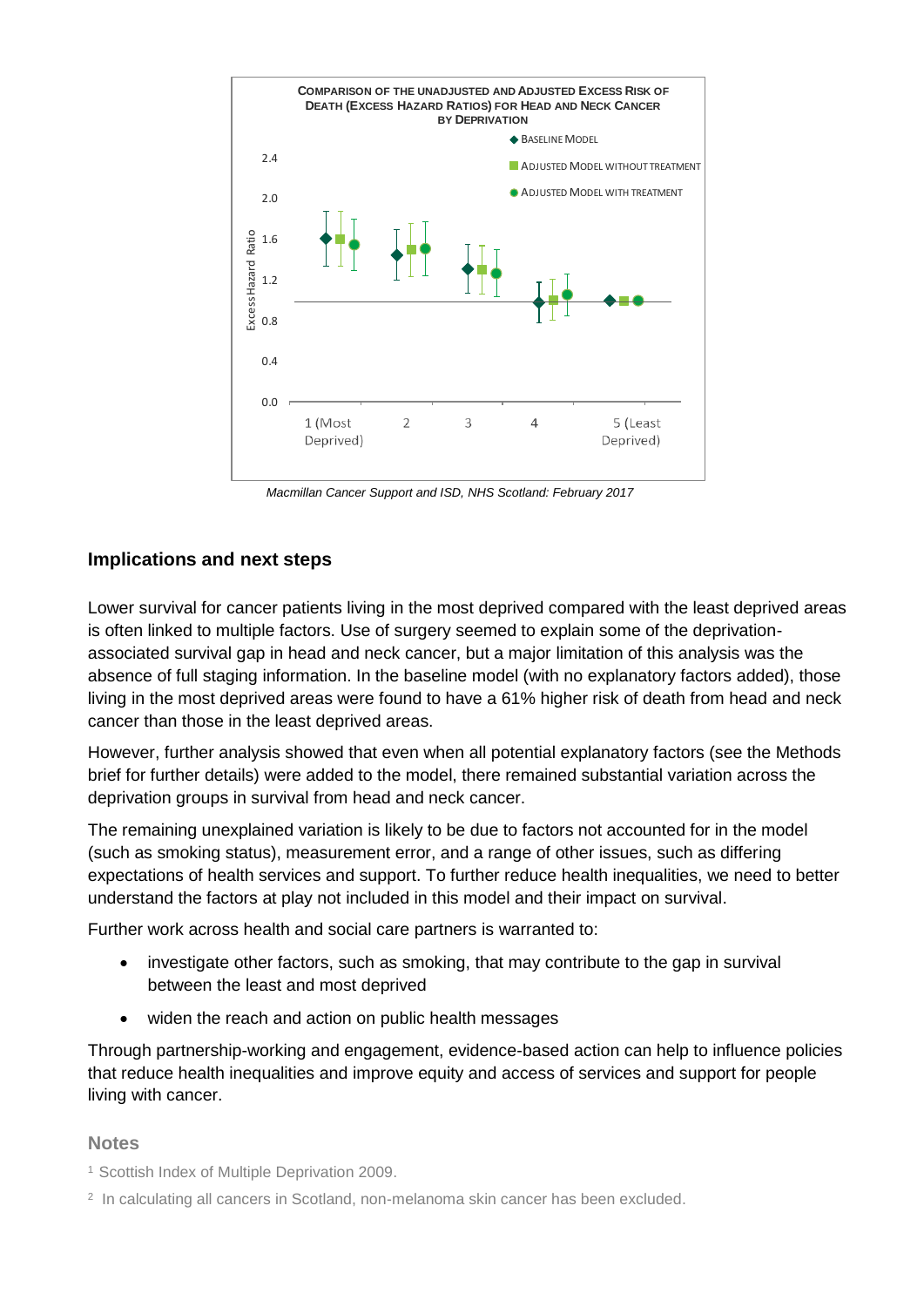

*Macmillan Cancer Support and ISD, NHS Scotland: February 2017*

#### **Implications and next steps**

Lower survival for cancer patients living in the most deprived compared with the least deprived areas is often linked to multiple factors. Use of surgery seemed to explain some of the deprivationassociated survival gap in head and neck cancer, but a major limitation of this analysis was the absence of full staging information. In the baseline model (with no explanatory factors added), those living in the most deprived areas were found to have a 61% higher risk of death from head and neck cancer than those in the least deprived areas.

However, further analysis showed that even when all potential explanatory factors (see the Methods brief for further details) were added to the model, there remained substantial variation across the deprivation groups in survival from head and neck cancer.

The remaining unexplained variation is likely to be due to factors not accounted for in the model (such as smoking status), measurement error, and a range of other issues, such as differing expectations of health services and support. To further reduce health inequalities, we need to better understand the factors at play not included in this model and their impact on survival.

Further work across health and social care partners is warranted to:

- investigate other factors, such as smoking, that may contribute to the gap in survival between the least and most deprived
- widen the reach and action on public health messages

Through partnership-working and engagement, evidence-based action can help to influence policies that reduce health inequalities and improve equity and access of services and support for people living with cancer.

#### **Notes**

- <sup>1</sup> Scottish Index of Multiple Deprivation 2009.
- <sup>2</sup> In calculating all cancers in Scotland, non-melanoma skin cancer has been excluded.